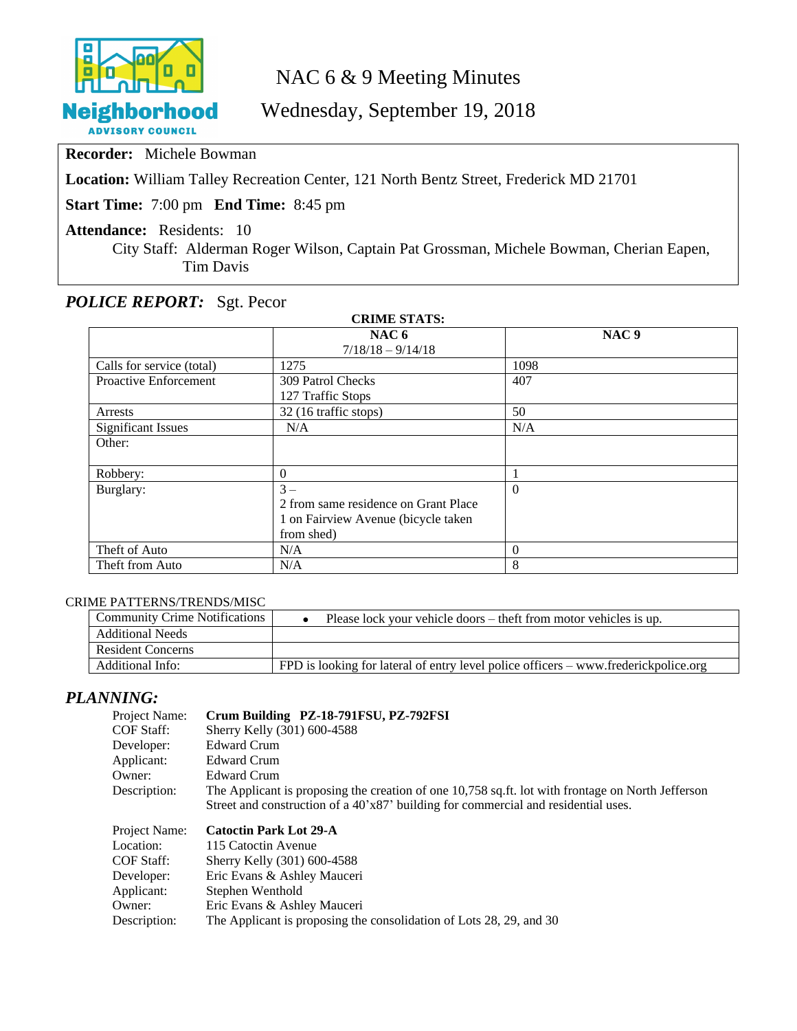

# NAC 6 & 9 Meeting Minutes

# Wednesday, September 19, 2018

**Recorder:** Michele Bowman

**Location:** William Talley Recreation Center, 121 North Bentz Street, Frederick MD 21701

**Start Time:** 7:00 pm **End Time:** 8:45 pm

**Attendance:** Residents: 10

City Staff: Alderman Roger Wilson, Captain Pat Grossman, Michele Bowman, Cherian Eapen, Tim Davis

# *POLICE REPORT:* Sgt. Pecor

| <b>CRIME STATS:</b>       |                                      |                  |  |  |  |
|---------------------------|--------------------------------------|------------------|--|--|--|
|                           | NAC <sub>6</sub>                     | NAC <sub>9</sub> |  |  |  |
|                           | $7/18/18 - 9/14/18$                  |                  |  |  |  |
| Calls for service (total) | 1275                                 | 1098             |  |  |  |
| Proactive Enforcement     | 309 Patrol Checks                    | 407              |  |  |  |
|                           | 127 Traffic Stops                    |                  |  |  |  |
| Arrests                   | 32 (16 traffic stops)                | 50               |  |  |  |
| <b>Significant Issues</b> | N/A                                  | N/A              |  |  |  |
| Other:                    |                                      |                  |  |  |  |
|                           |                                      |                  |  |  |  |
| Robbery:                  | $\theta$                             |                  |  |  |  |
| Burglary:                 | $3-$                                 | $\Omega$         |  |  |  |
|                           | 2 from same residence on Grant Place |                  |  |  |  |
|                           | 1 on Fairview Avenue (bicycle taken  |                  |  |  |  |
|                           | from shed)                           |                  |  |  |  |
| Theft of Auto             | N/A                                  | $\Omega$         |  |  |  |
| Theft from Auto           | N/A                                  | 8                |  |  |  |

#### CRIME PATTERNS/TRENDS/MISC

| <b>Community Crime Notifications</b> | Please lock your vehicle doors – theft from motor vehicles is up.                   |
|--------------------------------------|-------------------------------------------------------------------------------------|
| <b>Additional Needs</b>              |                                                                                     |
| <b>Resident Concerns</b>             |                                                                                     |
| Additional Info:                     | FPD is looking for lateral of entry level police officers – www.frederickpolice.org |

# *PLANNING:*

| Project Name:<br><b>COF Staff:</b> | Crum Building PZ-18-791FSU, PZ-792FSI<br>Sherry Kelly (301) 600-4588                                                                                                                    |
|------------------------------------|-----------------------------------------------------------------------------------------------------------------------------------------------------------------------------------------|
| Developer:                         | Edward Crum                                                                                                                                                                             |
| Applicant:                         | <b>Edward Crum</b>                                                                                                                                                                      |
| Owner:                             | <b>Edward Crum</b>                                                                                                                                                                      |
| Description:                       | The Applicant is proposing the creation of one 10,758 sq.ft. lot with frontage on North Jefferson<br>Street and construction of a 40'x87' building for commercial and residential uses. |
|                                    |                                                                                                                                                                                         |
|                                    |                                                                                                                                                                                         |
| Project Name:<br>Location:         | <b>Catoctin Park Lot 29-A</b><br>115 Catoctin Avenue                                                                                                                                    |
| COF Staff:                         | Sherry Kelly (301) 600-4588                                                                                                                                                             |
| Developer:                         | Eric Evans & Ashley Mauceri                                                                                                                                                             |
| Applicant:                         | Stephen Wenthold                                                                                                                                                                        |
| Owner:                             | Eric Evans & Ashley Mauceri                                                                                                                                                             |